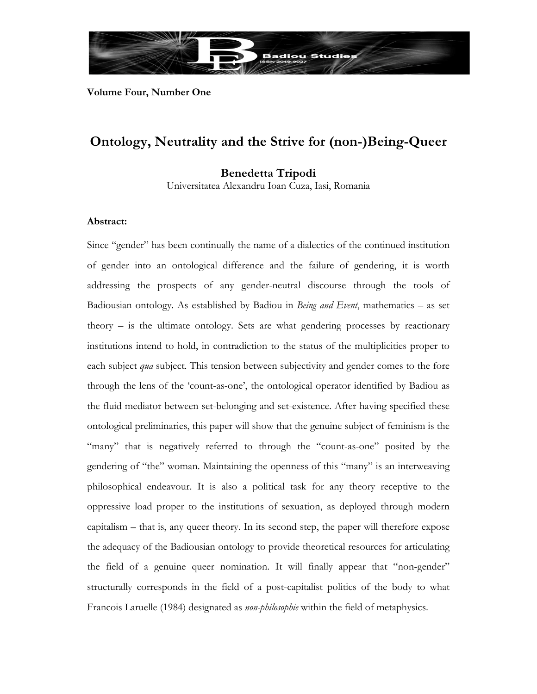

**Volume Four, Number One** 

# **Ontology, Neutrality and the Strive for (non-)Being-Queer**

**Benedetta Tripodi**

Universitatea Alexandru Ioan Cuza, Iasi, Romania

# **Abstract:**

Since "gender" has been continually the name of a dialectics of the continued institution of gender into an ontological difference and the failure of gendering, it is worth addressing the prospects of any gender-neutral discourse through the tools of Badiousian ontology. As established by Badiou in *Being and Event*, mathematics – as set theory – is the ultimate ontology. Sets are what gendering processes by reactionary institutions intend to hold, in contradiction to the status of the multiplicities proper to each subject *qua* subject. This tension between subjectivity and gender comes to the fore through the lens of the 'count-as-one', the ontological operator identified by Badiou as the fluid mediator between set-belonging and set-existence. After having specified these ontological preliminaries, this paper will show that the genuine subject of feminism is the "many" that is negatively referred to through the "count-as-one" posited by the gendering of "the" woman. Maintaining the openness of this "many" is an interweaving philosophical endeavour. It is also a political task for any theory receptive to the oppressive load proper to the institutions of sexuation, as deployed through modern capitalism – that is, any queer theory. In its second step, the paper will therefore expose the adequacy of the Badiousian ontology to provide theoretical resources for articulating the field of a genuine queer nomination. It will finally appear that "non-gender" structurally corresponds in the field of a post-capitalist politics of the body to what Francois Laruelle (1984) designated as *non-philosophie* within the field of metaphysics.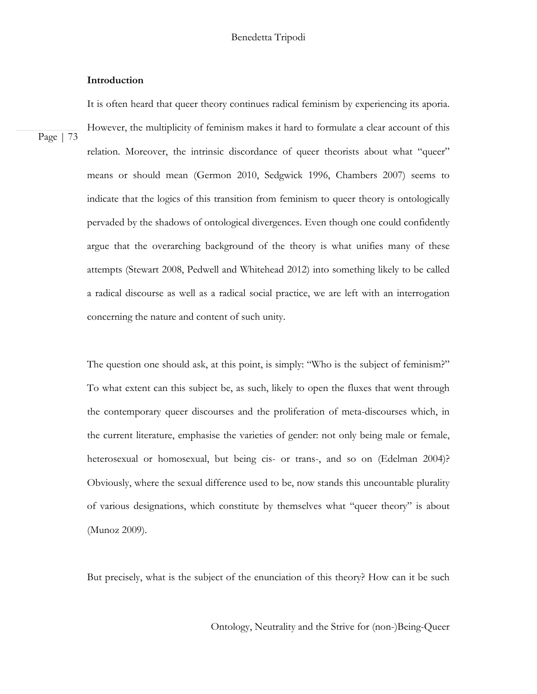# **Introduction**

Page | 73

It is often heard that queer theory continues radical feminism by experiencing its aporia. However, the multiplicity of feminism makes it hard to formulate a clear account of this relation. Moreover, the intrinsic discordance of queer theorists about what "queer" means or should mean (Germon 2010, Sedgwick 1996, Chambers 2007) seems to indicate that the logics of this transition from feminism to queer theory is ontologically pervaded by the shadows of ontological divergences. Even though one could confidently argue that the overarching background of the theory is what unifies many of these attempts (Stewart 2008, Pedwell and Whitehead 2012) into something likely to be called a radical discourse as well as a radical social practice, we are left with an interrogation concerning the nature and content of such unity.

The question one should ask, at this point, is simply: "Who is the subject of feminism?" To what extent can this subject be, as such, likely to open the fluxes that went through the contemporary queer discourses and the proliferation of meta-discourses which, in the current literature, emphasise the varieties of gender: not only being male or female, heterosexual or homosexual, but being cis- or trans-, and so on (Edelman 2004)? Obviously, where the sexual difference used to be, now stands this uncountable plurality of various designations, which constitute by themselves what "queer theory" is about (Munoz 2009).

But precisely, what is the subject of the enunciation of this theory? How can it be such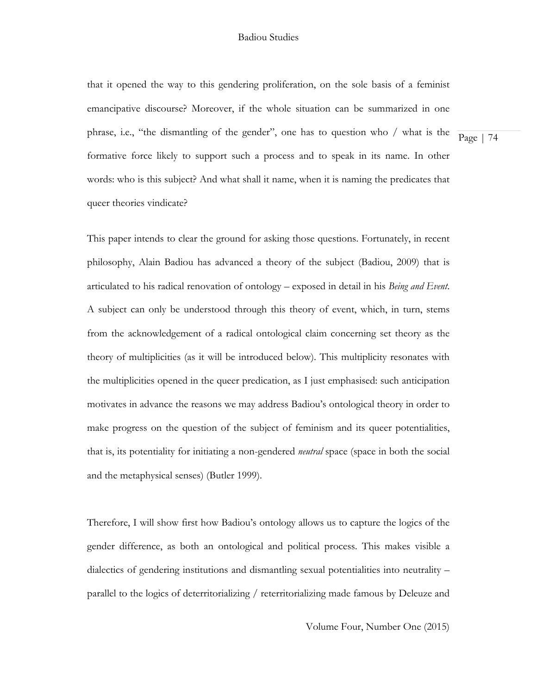Page | 74 that it opened the way to this gendering proliferation, on the sole basis of a feminist emancipative discourse? Moreover, if the whole situation can be summarized in one phrase, i.e., "the dismantling of the gender", one has to question who / what is the formative force likely to support such a process and to speak in its name. In other words: who is this subject? And what shall it name, when it is naming the predicates that queer theories vindicate?

This paper intends to clear the ground for asking those questions. Fortunately, in recent philosophy, Alain Badiou has advanced a theory of the subject (Badiou, 2009) that is articulated to his radical renovation of ontology – exposed in detail in his *Being and Event*. A subject can only be understood through this theory of event, which, in turn, stems from the acknowledgement of a radical ontological claim concerning set theory as the theory of multiplicities (as it will be introduced below). This multiplicity resonates with the multiplicities opened in the queer predication, as I just emphasised: such anticipation motivates in advance the reasons we may address Badiou's ontological theory in order to make progress on the question of the subject of feminism and its queer potentialities, that is, its potentiality for initiating a non-gendered *neutral* space (space in both the social and the metaphysical senses) (Butler 1999).

Therefore, I will show first how Badiou's ontology allows us to capture the logics of the gender difference, as both an ontological and political process. This makes visible a dialectics of gendering institutions and dismantling sexual potentialities into neutrality – parallel to the logics of deterritorializing / reterritorializing made famous by Deleuze and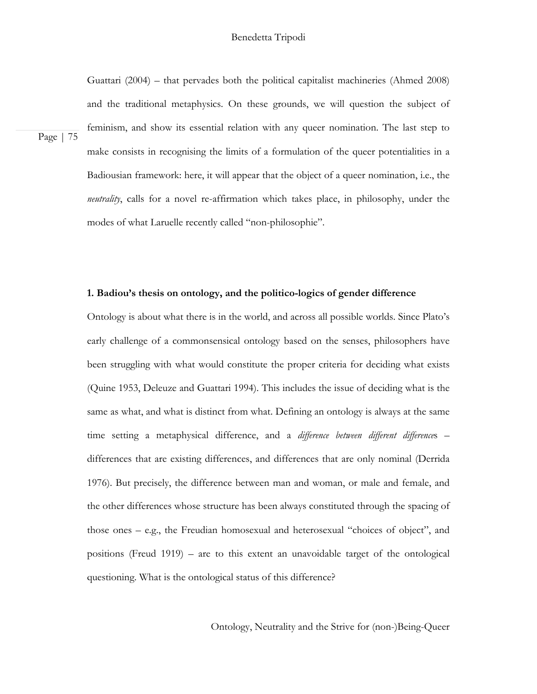Guattari (2004) – that pervades both the political capitalist machineries (Ahmed 2008) and the traditional metaphysics. On these grounds, we will question the subject of feminism, and show its essential relation with any queer nomination. The last step to make consists in recognising the limits of a formulation of the queer potentialities in a Badiousian framework: here, it will appear that the object of a queer nomination, i.e., the *neutrality*, calls for a novel re-affirmation which takes place, in philosophy, under the modes of what Laruelle recently called "non-philosophie".

Page | 75

# **1. Badiou's thesis on ontology, and the politico-logics of gender difference**

Ontology is about what there is in the world, and across all possible worlds. Since Plato's early challenge of a commonsensical ontology based on the senses, philosophers have been struggling with what would constitute the proper criteria for deciding what exists (Quine 1953, Deleuze and Guattari 1994). This includes the issue of deciding what is the same as what, and what is distinct from what. Defining an ontology is always at the same time setting a metaphysical difference, and a *difference between different difference*s – differences that are existing differences, and differences that are only nominal (Derrida 1976). But precisely, the difference between man and woman, or male and female, and the other differences whose structure has been always constituted through the spacing of those ones – e.g., the Freudian homosexual and heterosexual "choices of object", and positions (Freud 1919) – are to this extent an unavoidable target of the ontological questioning. What is the ontological status of this difference?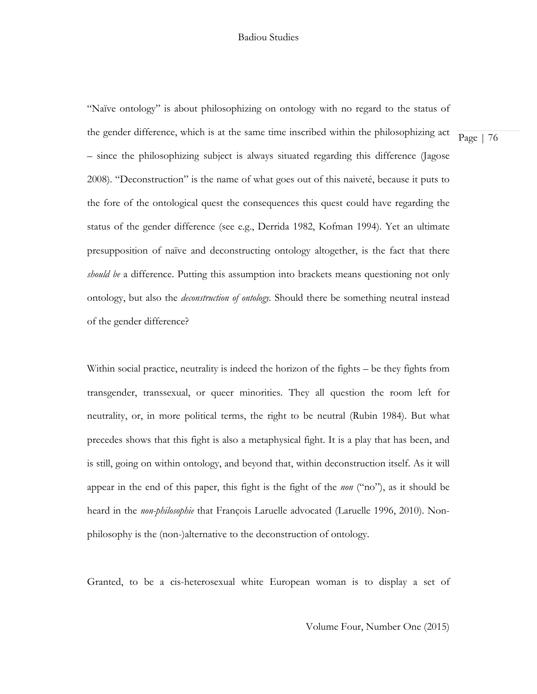"Naïve ontology" is about philosophizing on ontology with no regard to the status of the gender difference, which is at the same time inscribed within the philosophizing act – since the philosophizing subject is always situated regarding this difference (Jagose 2008). "Deconstruction" is the name of what goes out of this naiveté, because it puts to the fore of the ontological quest the consequences this quest could have regarding the status of the gender difference (see e.g., Derrida 1982, Kofman 1994). Yet an ultimate presupposition of naïve and deconstructing ontology altogether, is the fact that there *should be* a difference. Putting this assumption into brackets means questioning not only ontology, but also the *deconstruction of ontology.* Should there be something neutral instead of the gender difference?

Within social practice, neutrality is indeed the horizon of the fights – be they fights from transgender, transsexual, or queer minorities. They all question the room left for neutrality, or, in more political terms, the right to be neutral (Rubin 1984). But what precedes shows that this fight is also a metaphysical fight. It is a play that has been, and is still, going on within ontology, and beyond that, within deconstruction itself. As it will appear in the end of this paper, this fight is the fight of the *non* ("no"), as it should be heard in the *non-philosophie* that François Laruelle advocated (Laruelle 1996, 2010). Nonphilosophy is the (non-)alternative to the deconstruction of ontology.

Granted, to be a cis-heterosexual white European woman is to display a set of

Volume Four, Number One (2015)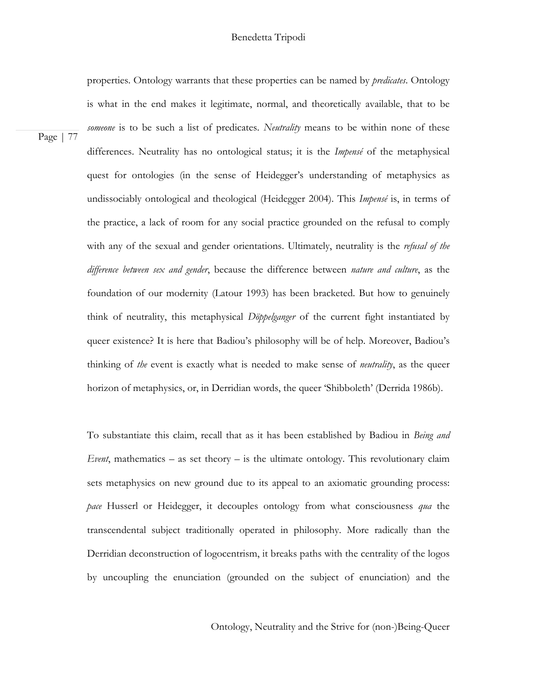# Benedetta Tripodi

properties. Ontology warrants that these properties can be named by *predicates*. Ontology is what in the end makes it legitimate, normal, and theoretically available, that to be *someone* is to be such a list of predicates. *Neutrality* means to be within none of these differences. Neutrality has no ontological status; it is the *Impensé* of the metaphysical quest for ontologies (in the sense of Heidegger's understanding of metaphysics as undissociably ontological and theological (Heidegger 2004). This *Impensé* is, in terms of the practice, a lack of room for any social practice grounded on the refusal to comply with any of the sexual and gender orientations. Ultimately, neutrality is the *refusal of the difference between sex and gender*, because the difference between *nature and culture*, as the foundation of our modernity (Latour 1993) has been bracketed. But how to genuinely think of neutrality, this metaphysical *Döppelganger* of the current fight instantiated by queer existence? It is here that Badiou's philosophy will be of help. Moreover, Badiou's thinking of *the* event is exactly what is needed to make sense of *neutrality*, as the queer horizon of metaphysics, or, in Derridian words, the queer 'Shibboleth' (Derrida 1986b).

To substantiate this claim, recall that as it has been established by Badiou in *Being and Event*, mathematics – as set theory – is the ultimate ontology. This revolutionary claim sets metaphysics on new ground due to its appeal to an axiomatic grounding process: *pace* Husserl or Heidegger, it decouples ontology from what consciousness *qua* the transcendental subject traditionally operated in philosophy. More radically than the Derridian deconstruction of logocentrism, it breaks paths with the centrality of the logos by uncoupling the enunciation (grounded on the subject of enunciation) and the

Ontology, Neutrality and the Strive for (non-)Being-Queer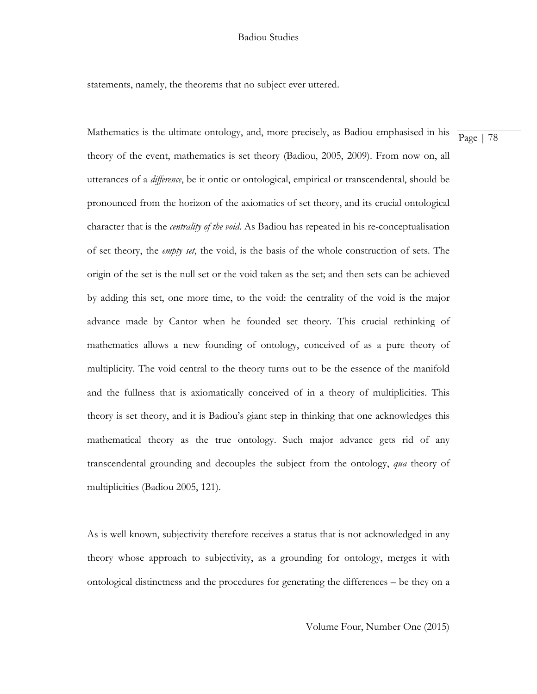statements, namely, the theorems that no subject ever uttered.

Mathematics is the ultimate ontology, and, more precisely, as Badiou emphasised in his theory of the event, mathematics is set theory (Badiou, 2005, 2009). From now on, all utterances of a *difference*, be it ontic or ontological, empirical or transcendental, should be pronounced from the horizon of the axiomatics of set theory, and its crucial ontological character that is the *centrality of the void*. As Badiou has repeated in his re-conceptualisation of set theory, the *empty set*, the void, is the basis of the whole construction of sets. The origin of the set is the null set or the void taken as the set; and then sets can be achieved by adding this set, one more time, to the void: the centrality of the void is the major advance made by Cantor when he founded set theory. This crucial rethinking of mathematics allows a new founding of ontology, conceived of as a pure theory of multiplicity. The void central to the theory turns out to be the essence of the manifold and the fullness that is axiomatically conceived of in a theory of multiplicities. This theory is set theory, and it is Badiou's giant step in thinking that one acknowledges this mathematical theory as the true ontology. Such major advance gets rid of any transcendental grounding and decouples the subject from the ontology, *qua* theory of multiplicities (Badiou 2005, 121).

As is well known, subjectivity therefore receives a status that is not acknowledged in any theory whose approach to subjectivity, as a grounding for ontology, merges it with ontological distinctness and the procedures for generating the differences – be they on a

Volume Four, Number One (2015)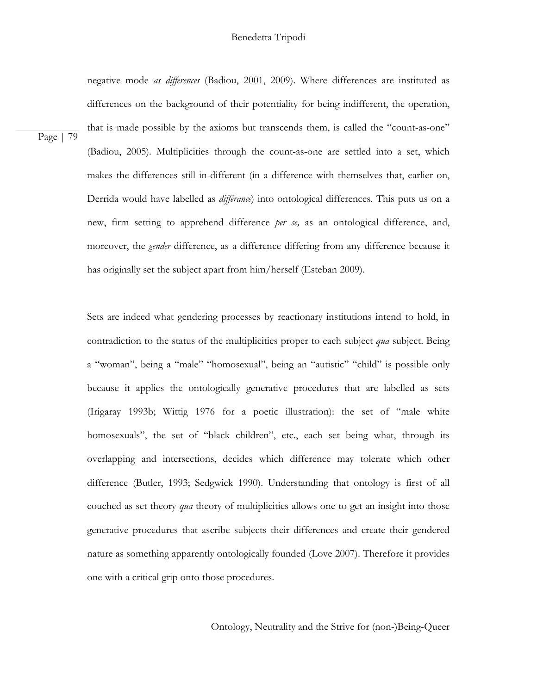negative mode *as differences* (Badiou, 2001, 2009). Where differences are instituted as differences on the background of their potentiality for being indifferent, the operation, that is made possible by the axioms but transcends them, is called the "count-as-one" (Badiou, 2005)*.* Multiplicities through the count-as-one are settled into a set, which makes the differences still in-different (in a difference with themselves that, earlier on, Derrida would have labelled as *différance*) into ontological differences. This puts us on a new, firm setting to apprehend difference *per se,* as an ontological difference, and, moreover, the *gender* difference, as a difference differing from any difference because it has originally set the subject apart from him/herself (Esteban 2009).

Page | 79

Sets are indeed what gendering processes by reactionary institutions intend to hold, in contradiction to the status of the multiplicities proper to each subject *qua* subject. Being a "woman", being a "male" "homosexual", being an "autistic" "child" is possible only because it applies the ontologically generative procedures that are labelled as sets (Irigaray 1993b; Wittig 1976 for a poetic illustration): the set of "male white homosexuals", the set of "black children", etc., each set being what, through its overlapping and intersections, decides which difference may tolerate which other difference (Butler, 1993; Sedgwick 1990). Understanding that ontology is first of all couched as set theory *qua* theory of multiplicities allows one to get an insight into those generative procedures that ascribe subjects their differences and create their gendered nature as something apparently ontologically founded (Love 2007). Therefore it provides one with a critical grip onto those procedures.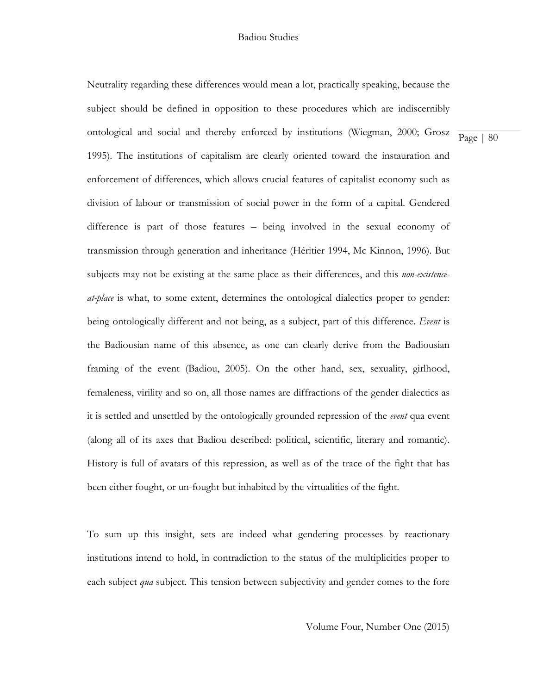Neutrality regarding these differences would mean a lot, practically speaking, because the subject should be defined in opposition to these procedures which are indiscernibly ontological and social and thereby enforced by institutions (Wiegman, 2000; Grosz 1995). The institutions of capitalism are clearly oriented toward the instauration and enforcement of differences, which allows crucial features of capitalist economy such as division of labour or transmission of social power in the form of a capital. Gendered difference is part of those features – being involved in the sexual economy of transmission through generation and inheritance (Héritier 1994, Mc Kinnon, 1996). But subjects may not be existing at the same place as their differences, and this *non-existenceat-place* is what, to some extent, determines the ontological dialectics proper to gender: being ontologically different and not being, as a subject, part of this difference. *Event* is the Badiousian name of this absence, as one can clearly derive from the Badiousian framing of the event (Badiou, 2005). On the other hand, sex, sexuality, girlhood, femaleness, virility and so on, all those names are diffractions of the gender dialectics as it is settled and unsettled by the ontologically grounded repression of the *event* qua event (along all of its axes that Badiou described: political, scientific, literary and romantic). History is full of avatars of this repression, as well as of the trace of the fight that has been either fought, or un-fought but inhabited by the virtualities of the fight.

To sum up this insight, sets are indeed what gendering processes by reactionary institutions intend to hold, in contradiction to the status of the multiplicities proper to each subject *qua* subject. This tension between subjectivity and gender comes to the fore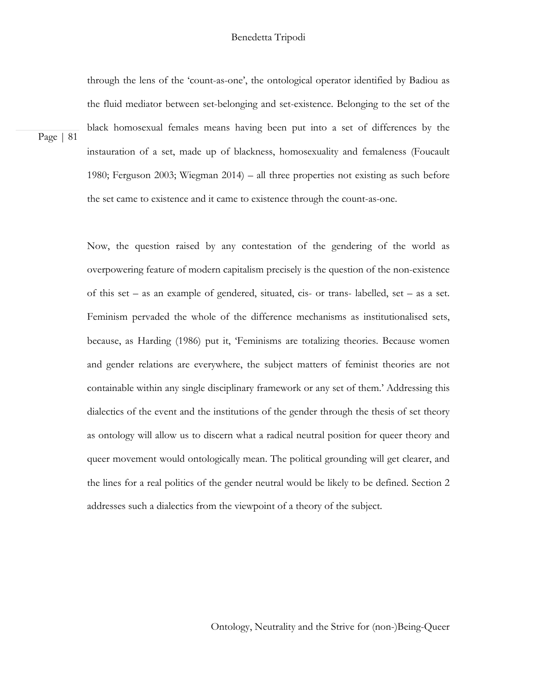# Benedetta Tripodi

through the lens of the 'count-as-one', the ontological operator identified by Badiou as the fluid mediator between set-belonging and set-existence. Belonging to the set of the black homosexual females means having been put into a set of differences by the instauration of a set, made up of blackness, homosexuality and femaleness (Foucault 1980; Ferguson 2003; Wiegman 2014) – all three properties not existing as such before the set came to existence and it came to existence through the count-as-one.

Page | 81

Now, the question raised by any contestation of the gendering of the world as overpowering feature of modern capitalism precisely is the question of the non-existence of this set – as an example of gendered, situated, cis- or trans- labelled, set – as a set. Feminism pervaded the whole of the difference mechanisms as institutionalised sets, because, as Harding (1986) put it, 'Feminisms are totalizing theories. Because women and gender relations are everywhere, the subject matters of feminist theories are not containable within any single disciplinary framework or any set of them.' Addressing this dialectics of the event and the institutions of the gender through the thesis of set theory as ontology will allow us to discern what a radical neutral position for queer theory and queer movement would ontologically mean. The political grounding will get clearer, and the lines for a real politics of the gender neutral would be likely to be defined. Section 2 addresses such a dialectics from the viewpoint of a theory of the subject.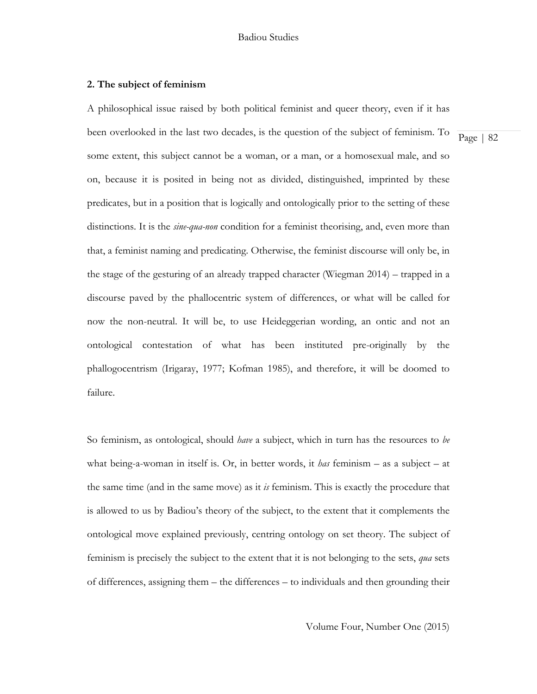# **2. The subject of feminism**

A philosophical issue raised by both political feminist and queer theory, even if it has been overlooked in the last two decades, is the question of the subject of feminism. To some extent, this subject cannot be a woman, or a man, or a homosexual male, and so on, because it is posited in being not as divided, distinguished, imprinted by these predicates, but in a position that is logically and ontologically prior to the setting of these distinctions. It is the *sine-qua-non* condition for a feminist theorising, and, even more than that, a feminist naming and predicating. Otherwise, the feminist discourse will only be, in the stage of the gesturing of an already trapped character (Wiegman 2014) – trapped in a discourse paved by the phallocentric system of differences, or what will be called for now the non-neutral. It will be, to use Heideggerian wording, an ontic and not an ontological contestation of what has been instituted pre-originally by the phallogocentrism (Irigaray, 1977; Kofman 1985), and therefore, it will be doomed to failure.

So feminism, as ontological, should *have* a subject, which in turn has the resources to *be* what being-a-woman in itself is. Or, in better words, it *has* feminism – as a subject – at the same time (and in the same move) as it *is* feminism. This is exactly the procedure that is allowed to us by Badiou's theory of the subject, to the extent that it complements the ontological move explained previously, centring ontology on set theory. The subject of feminism is precisely the subject to the extent that it is not belonging to the sets, *qua* sets of differences, assigning them – the differences – to individuals and then grounding their

Page | 82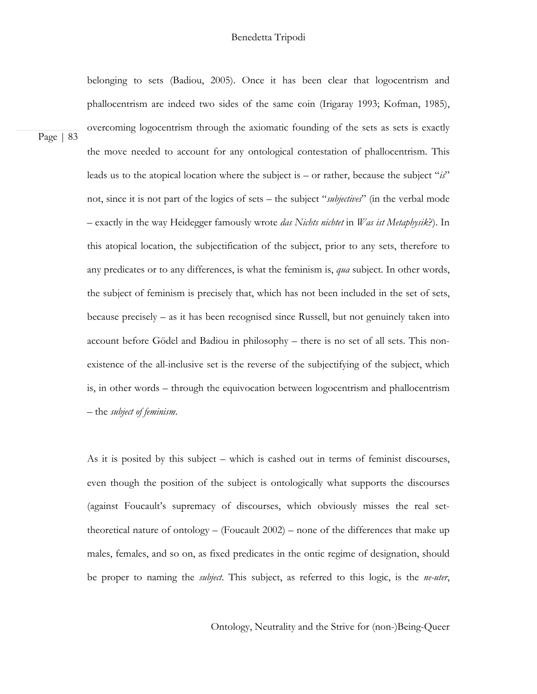Page | 83 belonging to sets (Badiou, 2005). Once it has been clear that logocentrism and phallocentrism are indeed two sides of the same coin (Irigaray 1993; Kofman, 1985), overcoming logocentrism through the axiomatic founding of the sets as sets is exactly the move needed to account for any ontological contestation of phallocentrism. This leads us to the atopical location where the subject is – or rather, because the subject "*is*" not, since it is not part of the logics of sets – the subject "*subjectives*" (in the verbal mode – exactly in the way Heidegger famously wrote *das Nichts nichtet* in *Was ist Metaphysik*?). In this atopical location, the subjectification of the subject, prior to any sets, therefore to any predicates or to any differences, is what the feminism is, *qua* subject. In other words, the subject of feminism is precisely that, which has not been included in the set of sets, because precisely – as it has been recognised since Russell, but not genuinely taken into account before Gödel and Badiou in philosophy – there is no set of all sets. This nonexistence of the all-inclusive set is the reverse of the subjectifying of the subject, which is, in other words – through the equivocation between logocentrism and phallocentrism – the *subject of feminism*.

> As it is posited by this subject – which is cashed out in terms of feminist discourses, even though the position of the subject is ontologically what supports the discourses (against Foucault's supremacy of discourses, which obviously misses the real settheoretical nature of ontology – (Foucault  $2002$ ) – none of the differences that make up males, females, and so on, as fixed predicates in the ontic regime of designation, should be proper to naming the *subject*. This subject, as referred to this logic, is the *ne-uter*,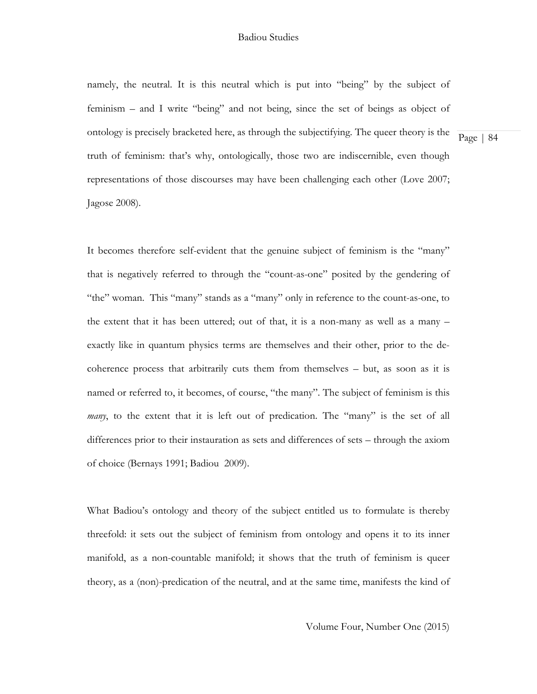namely, the neutral. It is this neutral which is put into "being" by the subject of feminism – and I write "being" and not being, since the set of beings as object of ontology is precisely bracketed here, as through the subjectifying. The queer theory is the truth of feminism: that's why, ontologically, those two are indiscernible, even though representations of those discourses may have been challenging each other (Love 2007; Jagose 2008).

Page | 84

It becomes therefore self-evident that the genuine subject of feminism is the "many" that is negatively referred to through the "count-as-one" posited by the gendering of "the" woman. This "many" stands as a "many" only in reference to the count-as-one, to the extent that it has been uttered; out of that, it is a non-many as well as a many – exactly like in quantum physics terms are themselves and their other, prior to the decoherence process that arbitrarily cuts them from themselves – but, as soon as it is named or referred to, it becomes, of course, "the many". The subject of feminism is this *many*, to the extent that it is left out of predication. The "many" is the set of all differences prior to their instauration as sets and differences of sets – through the axiom of choice (Bernays 1991; Badiou 2009).

What Badiou's ontology and theory of the subject entitled us to formulate is thereby threefold: it sets out the subject of feminism from ontology and opens it to its inner manifold, as a non-countable manifold; it shows that the truth of feminism is queer theory, as a (non)-predication of the neutral, and at the same time, manifests the kind of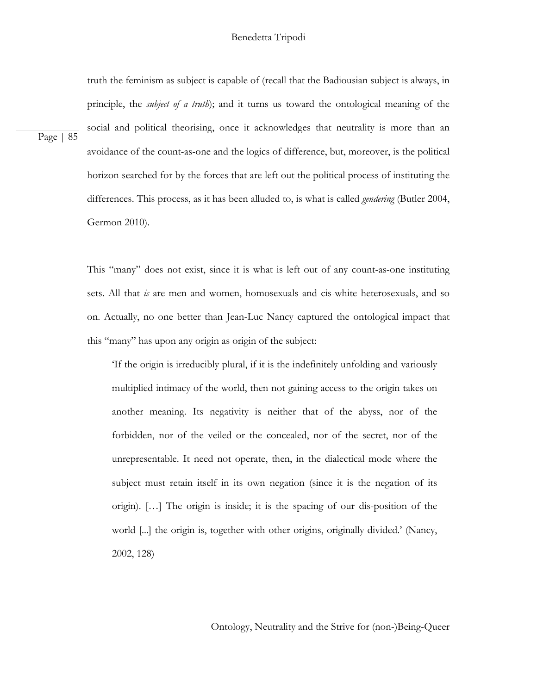# Benedetta Tripodi

truth the feminism as subject is capable of (recall that the Badiousian subject is always, in principle, the *subject of a truth*); and it turns us toward the ontological meaning of the social and political theorising, once it acknowledges that neutrality is more than an avoidance of the count-as-one and the logics of difference, but, moreover, is the political horizon searched for by the forces that are left out the political process of instituting the differences. This process, as it has been alluded to, is what is called *gendering* (Butler 2004, Germon 2010).

Page | 85

This "many" does not exist, since it is what is left out of any count-as-one instituting sets. All that *is* are men and women, homosexuals and cis-white heterosexuals, and so on. Actually, no one better than Jean-Luc Nancy captured the ontological impact that this "many" has upon any origin as origin of the subject:

'If the origin is irreducibly plural, if it is the indefinitely unfolding and variously multiplied intimacy of the world, then not gaining access to the origin takes on another meaning. Its negativity is neither that of the abyss, nor of the forbidden, nor of the veiled or the concealed, nor of the secret, nor of the unrepresentable. It need not operate, then, in the dialectical mode where the subject must retain itself in its own negation (since it is the negation of its origin). […] The origin is inside; it is the spacing of our dis-position of the world [...] the origin is, together with other origins, originally divided.' (Nancy, 2002, 128)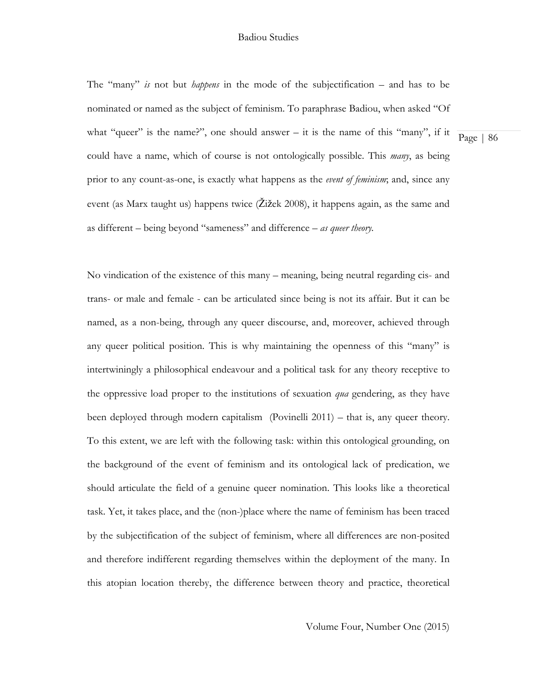The "many" *is* not but *happens* in the mode of the subjectification – and has to be nominated or named as the subject of feminism. To paraphrase Badiou, when asked "Of what "queer" is the name?", one should answer – it is the name of this "many", if it could have a name, which of course is not ontologically possible. This *many*, as being prior to any count-as-one, is exactly what happens as the *event of feminism*; and, since any event (as Marx taught us) happens twice (Žižek 2008), it happens again, as the same and as different – being beyond "sameness" and difference – *as queer theory.* 

No vindication of the existence of this many – meaning, being neutral regarding cis- and trans- or male and female - can be articulated since being is not its affair. But it can be named, as a non-being, through any queer discourse, and, moreover, achieved through any queer political position. This is why maintaining the openness of this "many" is intertwiningly a philosophical endeavour and a political task for any theory receptive to the oppressive load proper to the institutions of sexuation *qua* gendering, as they have been deployed through modern capitalism (Povinelli 2011) – that is, any queer theory. To this extent, we are left with the following task: within this ontological grounding, on the background of the event of feminism and its ontological lack of predication, we should articulate the field of a genuine queer nomination. This looks like a theoretical task. Yet, it takes place, and the (non-)place where the name of feminism has been traced by the subjectification of the subject of feminism, where all differences are non-posited and therefore indifferent regarding themselves within the deployment of the many. In this atopian location thereby, the difference between theory and practice, theoretical

Page | 86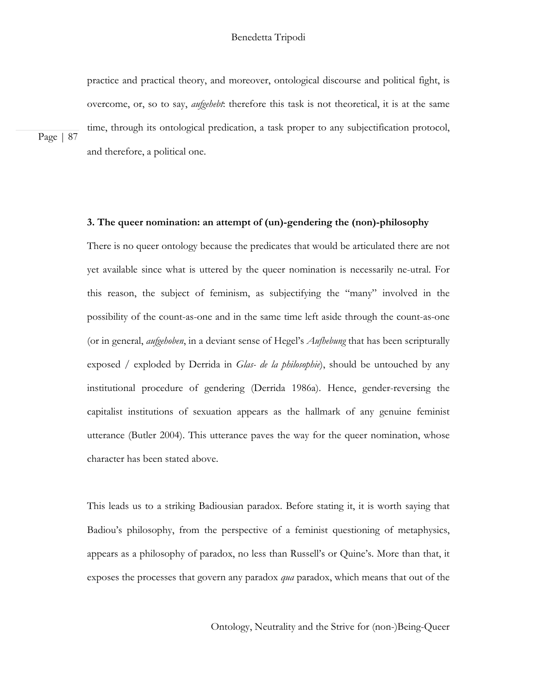practice and practical theory, and moreover, ontological discourse and political fight, is overcome, or, so to say, *aufgehebt*: therefore this task is not theoretical, it is at the same time, through its ontological predication, a task proper to any subjectification protocol, and therefore, a political one.

Page | 87

# **3. The queer nomination: an attempt of (un)-gendering the (non)-philosophy**

There is no queer ontology because the predicates that would be articulated there are not yet available since what is uttered by the queer nomination is necessarily ne-utral. For this reason, the subject of feminism, as subjectifying the "many" involved in the possibility of the count-as-one and in the same time left aside through the count-as-one (or in general, *aufgehoben*, in a deviant sense of Hegel's *Aufhebung* that has been scripturally exposed / exploded by Derrida in *Glas- de la philosophie*), should be untouched by any institutional procedure of gendering (Derrida 1986a). Hence, gender-reversing the capitalist institutions of sexuation appears as the hallmark of any genuine feminist utterance (Butler 2004). This utterance paves the way for the queer nomination, whose character has been stated above.

This leads us to a striking Badiousian paradox. Before stating it, it is worth saying that Badiou's philosophy, from the perspective of a feminist questioning of metaphysics, appears as a philosophy of paradox, no less than Russell's or Quine's. More than that, it exposes the processes that govern any paradox *qua* paradox, which means that out of the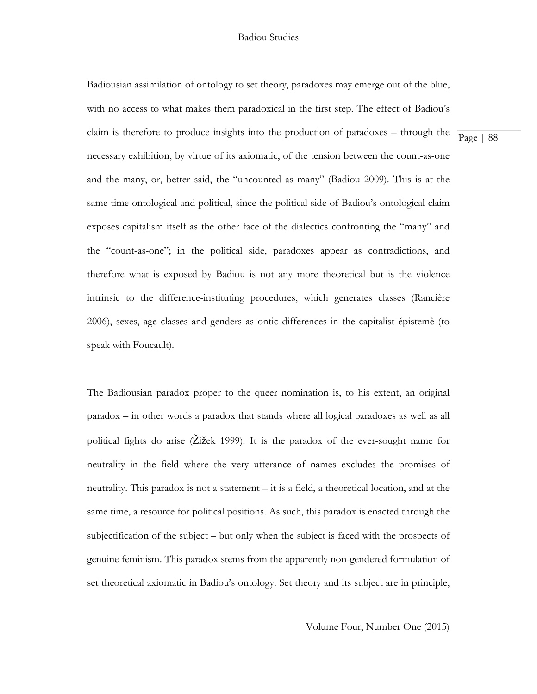Badiousian assimilation of ontology to set theory, paradoxes may emerge out of the blue, with no access to what makes them paradoxical in the first step. The effect of Badiou's claim is therefore to produce insights into the production of paradoxes – through the necessary exhibition, by virtue of its axiomatic, of the tension between the count-as-one and the many, or, better said, the "uncounted as many" (Badiou 2009). This is at the same time ontological and political, since the political side of Badiou's ontological claim exposes capitalism itself as the other face of the dialectics confronting the "many" and the "count-as-one"; in the political side, paradoxes appear as contradictions, and therefore what is exposed by Badiou is not any more theoretical but is the violence intrinsic to the difference-instituting procedures, which generates classes (Rancière 2006), sexes, age classes and genders as ontic differences in the capitalist épistemè (to speak with Foucault).

The Badiousian paradox proper to the queer nomination is, to his extent, an original paradox – in other words a paradox that stands where all logical paradoxes as well as all political fights do arise (Žižek 1999). It is the paradox of the ever-sought name for neutrality in the field where the very utterance of names excludes the promises of neutrality. This paradox is not a statement – it is a field, a theoretical location, and at the same time, a resource for political positions. As such, this paradox is enacted through the subjectification of the subject – but only when the subject is faced with the prospects of genuine feminism. This paradox stems from the apparently non-gendered formulation of set theoretical axiomatic in Badiou's ontology. Set theory and its subject are in principle,

Page | 88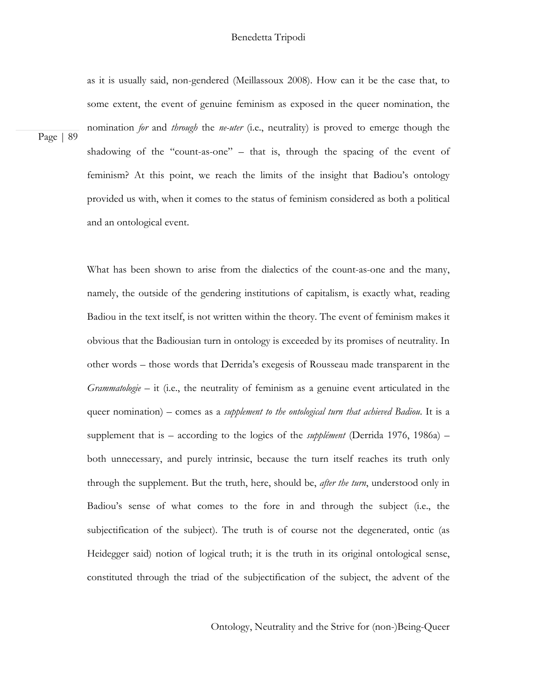# Benedetta Tripodi

as it is usually said, non-gendered (Meillassoux 2008). How can it be the case that, to some extent, the event of genuine feminism as exposed in the queer nomination, the nomination *for* and *through* the *ne-uter* (i.e., neutrality) is proved to emerge though the shadowing of the "count-as-one" – that is, through the spacing of the event of feminism? At this point, we reach the limits of the insight that Badiou's ontology provided us with, when it comes to the status of feminism considered as both a political and an ontological event.

What has been shown to arise from the dialectics of the count-as-one and the many, namely, the outside of the gendering institutions of capitalism, is exactly what, reading Badiou in the text itself, is not written within the theory. The event of feminism makes it obvious that the Badiousian turn in ontology is exceeded by its promises of neutrality. In other words – those words that Derrida's exegesis of Rousseau made transparent in the *Grammatologie* – it (i.e., the neutrality of feminism as a genuine event articulated in the queer nomination) – comes as a *supplement to the ontological turn that achieved Badiou*. It is a supplement that is – according to the logics of the *supplément* (Derrida 1976, 1986a) – both unnecessary, and purely intrinsic, because the turn itself reaches its truth only through the supplement. But the truth, here, should be, *after the turn*, understood only in Badiou's sense of what comes to the fore in and through the subject (i.e., the subjectification of the subject). The truth is of course not the degenerated, ontic (as Heidegger said) notion of logical truth; it is the truth in its original ontological sense, constituted through the triad of the subjectification of the subject, the advent of the

Ontology, Neutrality and the Strive for (non-)Being-Queer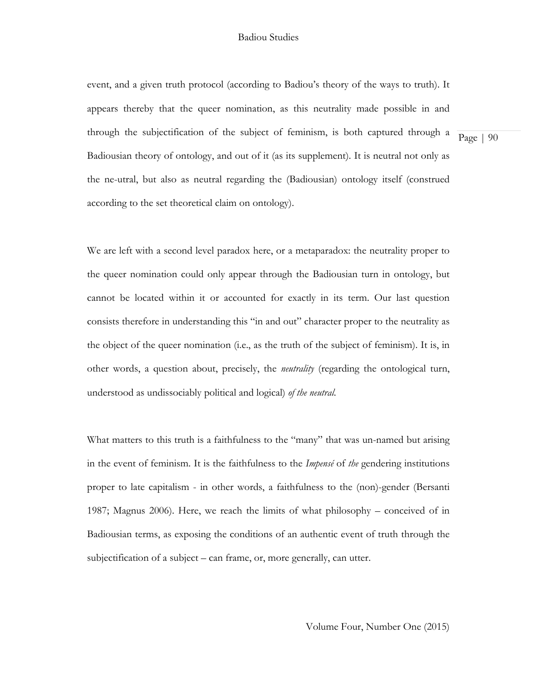event, and a given truth protocol (according to Badiou's theory of the ways to truth). It appears thereby that the queer nomination, as this neutrality made possible in and through the subjectification of the subject of feminism, is both captured through a Badiousian theory of ontology, and out of it (as its supplement). It is neutral not only as the ne-utral, but also as neutral regarding the (Badiousian) ontology itself (construed according to the set theoretical claim on ontology).

Page | 90

We are left with a second level paradox here, or a metaparadox: the neutrality proper to the queer nomination could only appear through the Badiousian turn in ontology, but cannot be located within it or accounted for exactly in its term. Our last question consists therefore in understanding this "in and out" character proper to the neutrality as the object of the queer nomination (i.e., as the truth of the subject of feminism). It is, in other words, a question about, precisely, the *neutrality* (regarding the ontological turn, understood as undissociably political and logical) *of the neutral*.

What matters to this truth is a faithfulness to the "many" that was un-named but arising in the event of feminism. It is the faithfulness to the *Impensé* of *the* gendering institutions proper to late capitalism - in other words, a faithfulness to the (non)-gender (Bersanti 1987; Magnus 2006). Here, we reach the limits of what philosophy – conceived of in Badiousian terms, as exposing the conditions of an authentic event of truth through the subjectification of a subject – can frame, or, more generally, can utter.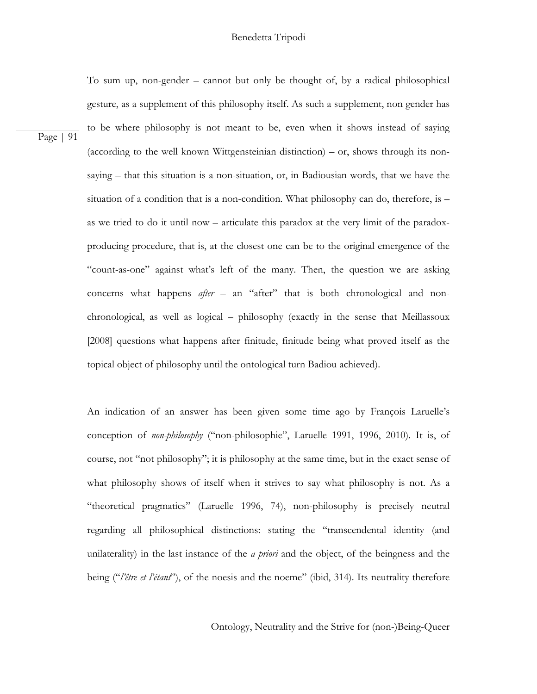To sum up, non-gender – cannot but only be thought of, by a radical philosophical gesture, as a supplement of this philosophy itself. As such a supplement, non gender has to be where philosophy is not meant to be, even when it shows instead of saying (according to the well known Wittgensteinian distinction) – or, shows through its nonsaying – that this situation is a non-situation, or, in Badiousian words, that we have the situation of a condition that is a non-condition. What philosophy can do, therefore, is  $$ as we tried to do it until now – articulate this paradox at the very limit of the paradoxproducing procedure, that is, at the closest one can be to the original emergence of the "count-as-one" against what's left of the many. Then, the question we are asking concerns what happens *after* – an "after" that is both chronological and nonchronological, as well as logical – philosophy (exactly in the sense that Meillassoux [2008] questions what happens after finitude, finitude being what proved itself as the topical object of philosophy until the ontological turn Badiou achieved).

Page | 91

An indication of an answer has been given some time ago by François Laruelle's conception of *non-philosophy* ("non-philosophie", Laruelle 1991, 1996, 2010). It is, of course, not "not philosophy"; it is philosophy at the same time, but in the exact sense of what philosophy shows of itself when it strives to say what philosophy is not. As a "theoretical pragmatics" (Laruelle 1996, 74), non-philosophy is precisely neutral regarding all philosophical distinctions: stating the "transcendental identity (and unilaterality) in the last instance of the *a priori* and the object, of the beingness and the being ("*l'être et l'étant*"), of the noesis and the noeme" (ibid, 314). Its neutrality therefore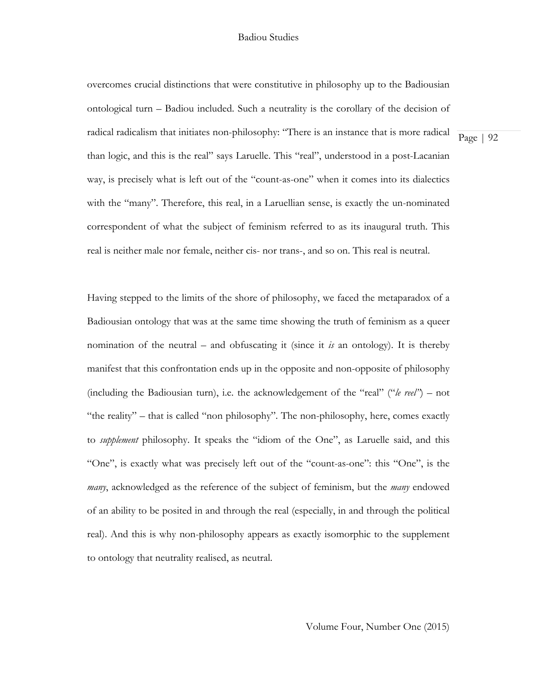overcomes crucial distinctions that were constitutive in philosophy up to the Badiousian ontological turn – Badiou included. Such a neutrality is the corollary of the decision of radical radicalism that initiates non-philosophy: "There is an instance that is more radical than logic, and this is the real" says Laruelle. This "real", understood in a post-Lacanian way, is precisely what is left out of the "count-as-one" when it comes into its dialectics with the "many". Therefore, this real, in a Laruellian sense, is exactly the un-nominated correspondent of what the subject of feminism referred to as its inaugural truth. This real is neither male nor female, neither cis- nor trans-, and so on. This real is neutral.

Having stepped to the limits of the shore of philosophy, we faced the metaparadox of a Badiousian ontology that was at the same time showing the truth of feminism as a queer nomination of the neutral – and obfuscating it (since it *is* an ontology). It is thereby manifest that this confrontation ends up in the opposite and non-opposite of philosophy (including the Badiousian turn), i.e. the acknowledgement of the "real" ("*le reel"*) – not "the reality" – that is called "non philosophy". The non-philosophy, here, comes exactly to *supplement* philosophy. It speaks the "idiom of the One", as Laruelle said, and this "One", is exactly what was precisely left out of the "count-as-one": this "One", is the *many*, acknowledged as the reference of the subject of feminism, but the *many* endowed of an ability to be posited in and through the real (especially, in and through the political real). And this is why non-philosophy appears as exactly isomorphic to the supplement to ontology that neutrality realised, as neutral.

Page | 92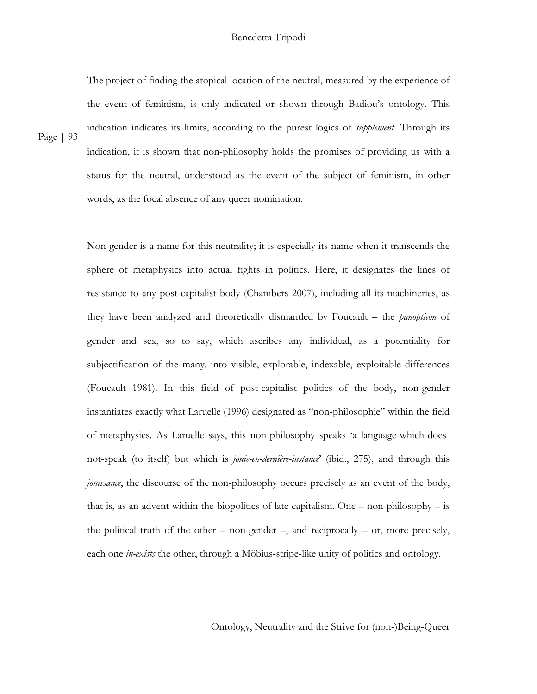# Benedetta Tripodi

The project of finding the atopical location of the neutral, measured by the experience of the event of feminism, is only indicated or shown through Badiou's ontology. This indication indicates its limits, according to the purest logics of *supplement*. Through its indication, it is shown that non-philosophy holds the promises of providing us with a status for the neutral, understood as the event of the subject of feminism, in other words, as the focal absence of any queer nomination.

Page | 93

Non-gender is a name for this neutrality; it is especially its name when it transcends the sphere of metaphysics into actual fights in politics. Here, it designates the lines of resistance to any post-capitalist body (Chambers 2007), including all its machineries, as they have been analyzed and theoretically dismantled by Foucault – the *panopticon* of gender and sex, so to say, which ascribes any individual, as a potentiality for subjectification of the many, into visible, explorable, indexable, exploitable differences (Foucault 1981). In this field of post-capitalist politics of the body, non-gender instantiates exactly what Laruelle (1996) designated as "non-philosophie" within the field of metaphysics. As Laruelle says, this non-philosophy speaks 'a language-which-doesnot-speak (to itself) but which is *jouie-en-dernière-instance*' (ibid., 275), and through this *jouissance*, the discourse of the non-philosophy occurs precisely as an event of the body, that is, as an advent within the biopolitics of late capitalism. One – non-philosophy – is the political truth of the other – non-gender –, and reciprocally – or, more precisely, each one *in-exists* the other, through a Möbius-stripe-like unity of politics and ontology.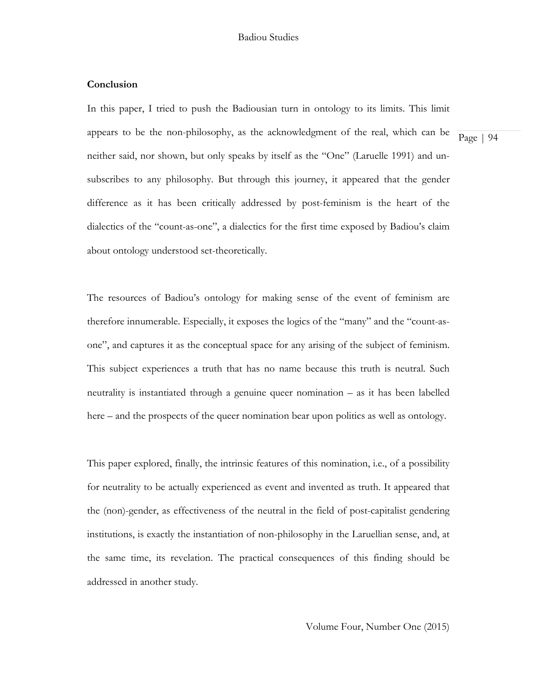# **Conclusion**

In this paper, I tried to push the Badiousian turn in ontology to its limits. This limit appears to be the non-philosophy, as the acknowledgment of the real, which can be neither said, nor shown, but only speaks by itself as the "One" (Laruelle 1991) and unsubscribes to any philosophy. But through this journey, it appeared that the gender difference as it has been critically addressed by post-feminism is the heart of the dialectics of the "count-as-one", a dialectics for the first time exposed by Badiou's claim

about ontology understood set-theoretically. The resources of Badiou's ontology for making sense of the event of feminism are therefore innumerable. Especially, it exposes the logics of the "many" and the "count-asone", and captures it as the conceptual space for any arising of the subject of feminism.

This subject experiences a truth that has no name because this truth is neutral. Such neutrality is instantiated through a genuine queer nomination – as it has been labelled here – and the prospects of the queer nomination bear upon politics as well as ontology.

This paper explored, finally, the intrinsic features of this nomination, i.e., of a possibility for neutrality to be actually experienced as event and invented as truth. It appeared that the (non)-gender, as effectiveness of the neutral in the field of post-capitalist gendering institutions, is exactly the instantiation of non-philosophy in the Laruellian sense, and, at the same time, its revelation. The practical consequences of this finding should be addressed in another study.

Volume Four, Number One (2015)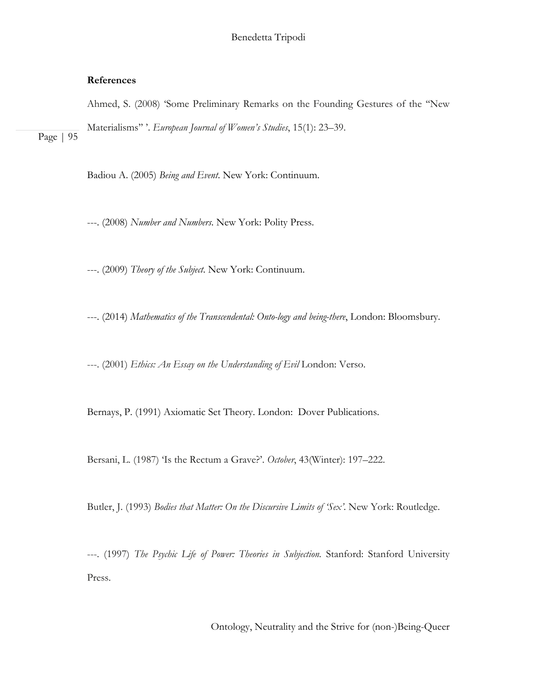# **References**

Page | 95

Ahmed, S. (2008) 'Some Preliminary Remarks on the Founding Gestures of the ''New Materialisms'' '. *European Journal of Women's Studies*, 15(1): 23–39.

Badiou A. (2005) *Being and Event*. New York: Continuum.

---. (2008) *Number and Numbers*. New York: Polity Press.

---. (2009) *Theory of the Subject*. New York: Continuum.

---. (2014) *Mathematics of the Transcendental: Onto-logy and being-there*, London: Bloomsbury.

---. (2001) *Ethics: An Essay on the Understanding of Evil* London: Verso.

Bernays, P. (1991) Axiomatic Set Theory. London: Dover Publications.

Bersani, L. (1987) 'Is the Rectum a Grave?'. *October*, 43(Winter): 197–222.

Butler, J. (1993) *Bodies that Matter: On the Discursive Limits of 'Sex'*. New York: Routledge.

---. (1997) *The Psychic Life of Power: Theories in Subjection.* Stanford: Stanford University Press.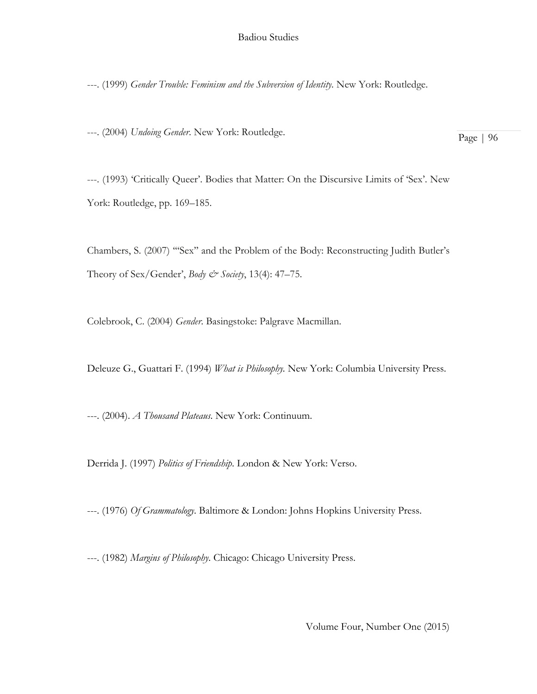---. (1999) *Gender Trouble: Feminism and the Subversion of Identity.* New York: Routledge.

---. (2004) *Undoing Gender*. New York: Routledge.

Page | 96

---. (1993) 'Critically Queer'. Bodies that Matter: On the Discursive Limits of 'Sex'. New York: Routledge, pp. 169–185.

Chambers, S. (2007) '''Sex'' and the Problem of the Body: Reconstructing Judith Butler's Theory of Sex/Gender', *Body & Society*, 13(4): 47–75.

Colebrook, C. (2004) *Gender*. Basingstoke: Palgrave Macmillan.

Deleuze G., Guattari F. (1994) *What is Philosophy.* New York: Columbia University Press.

---. (2004). *A Thousand Plateaus*. New York: Continuum.

Derrida J. (1997) *Politics of Friendship*. London & New York: Verso.

---. (1976) *Of Grammatology*. Baltimore & London: Johns Hopkins University Press.

---. (1982) *Margins of Philosophy*. Chicago: Chicago University Press.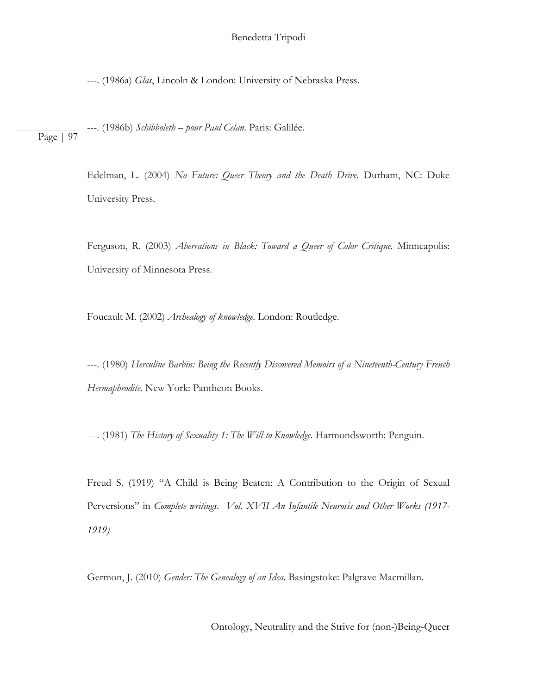---. (1986a) *Glas*, Lincoln & London: University of Nebraska Press.

Page | 97 ---. (1986b) *Schibboleth – pour Paul Celan*. Paris: Galilée.

> Edelman, L. (2004) *No Future: Queer Theory and the Death Drive.* Durham, NC: Duke University Press.

> Ferguson, R. (2003) *Aberrations in Black: Toward a Queer of Color Critique.* Minneapolis: University of Minnesota Press.

Foucault M. (2002) *Archealogy of knowledge.* London: Routledge.

---. (1980) *Herculine Barbin: Being the Recently Discovered Memoirs of a Nineteenth-Century French Hermaphrodite*. New York: Pantheon Books.

---. (1981) *The History of Sexuality 1: The Will to Knowledge.* Harmondsworth: Penguin.

Freud S. (1919) "A Child is Being Beaten: A Contribution to the Origin of Sexual Perversions" in *Complete writings*. *Vol. XVII An Infantile Neurosis and Other Works (1917- 1919)*

Germon, J. (2010) *Gender: The Genealogy of an Idea*. Basingstoke: Palgrave Macmillan.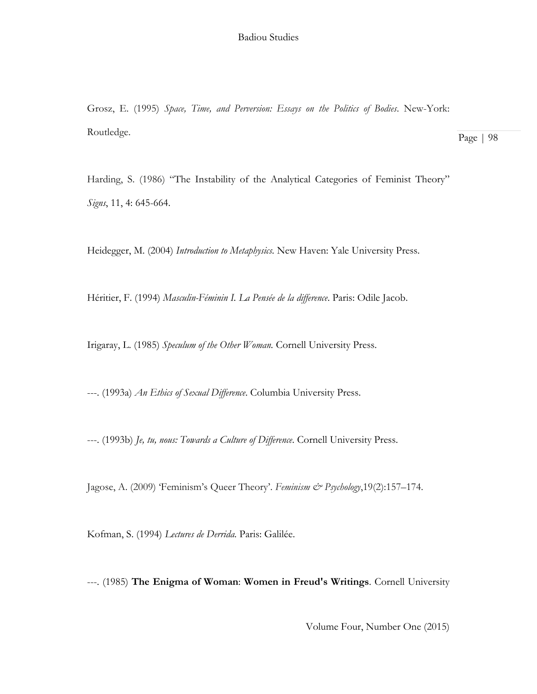Grosz, E. (1995) *Space, Time, and Perversion: Essays on the Politics of Bodies*. New-York: Routledge.

Harding, S. (1986) "The Instability of the Analytical Categories of Feminist Theory" *Signs*, 11, 4: 645-664.

Heidegger, M. (2004) *Introduction to Metaphysics.* New Haven: Yale University Press.

Héritier, F. (1994) *Masculin-Féminin I. La Pensée de la difference*. Paris: Odile Jacob.

Irigaray, L. (1985) *Speculum of the Other Woman.* Cornell University Press.

---. (1993a) *An Ethics of Sexual Difference*. Columbia University Press.

---. (1993b) *Je, tu, nous: Towards a Culture of Difference*. Cornell University Press.

Jagose, A. (2009) 'Feminism's Queer Theory'. *Feminism & Psychology*,19(2):157–174.

Kofman, S. (1994) *Lectures de Derrida.* Paris: Galilée.

---. (1985) **The Enigma of Woman**: **Women in Freud's Writings**. Cornell University

Volume Four, Number One (2015)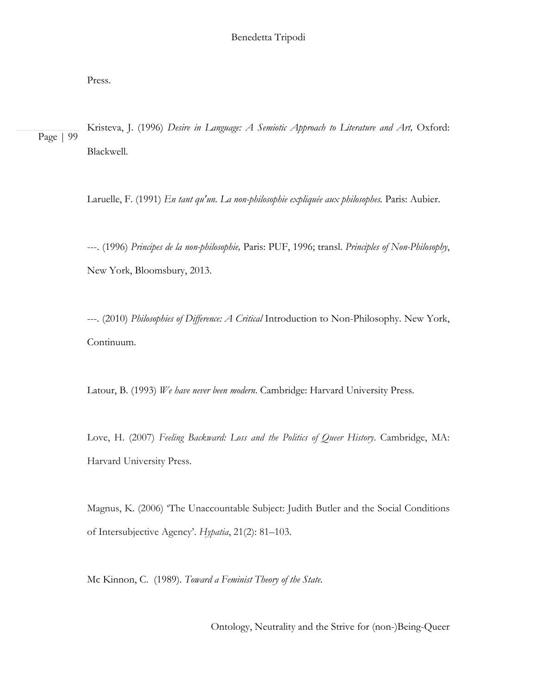Press.

Page | 99 Kristeva, J. (1996) *Desire in Language: A Semiotic Approach to Literature and Art,* Oxford: Blackwell.

Laruelle, F. (1991) *En tant qu'un. La non-philosophie expliquée aux philosophes.* Paris: Aubier.

---. (1996) *Principes de la non-philosophie,* Paris: PUF, 1996; transl. *Principles of Non-Philosophy*, New York, Bloomsbury, 2013.

---. (2010) *Philosophies of Difference: A Critical* Introduction to Non-Philosophy. New York, Continuum.

Latour, B. (1993) *We have never been modern*. Cambridge: Harvard University Press.

Love, H. (2007) *Feeling Backward: Loss and the Politics of Queer History*. Cambridge, MA: Harvard University Press.

Magnus, K. (2006) 'The Unaccountable Subject: Judith Butler and the Social Conditions of Intersubjective Agency'. *Hypatia*, 21(2): 81–103.

Mc Kinnon, C. (1989). *Toward a Feminist Theory of the State*.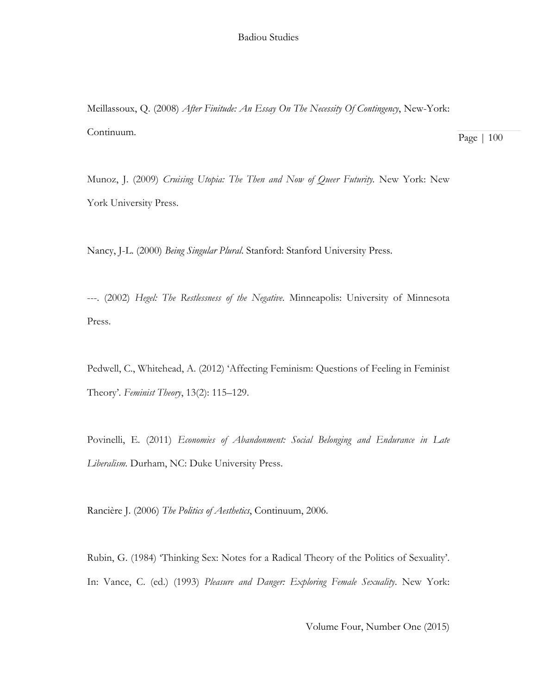Meillassoux, Q. (2008) *After Finitude: An Essay On The Necessity Of Contingency*, New-York: Continuum.

Page | 100

Munoz, J. (2009) *Cruising Utopia: The Then and Now of Queer Futurity.* New York: New York University Press.

Nancy, J-L. (2000) *Being Singular Plural*. Stanford: Stanford University Press.

---. (2002) *Hegel: The Restlessness of the Negative*. Minneapolis: University of Minnesota Press.

Pedwell, C., Whitehead, A. (2012) 'Affecting Feminism: Questions of Feeling in Feminist Theory'*. Feminist Theory*, 13(2): 115–129.

Povinelli, E. (2011) *Economies of Abandonment: Social Belonging and Endurance in Late Liberalism.* Durham, NC: Duke University Press.

Rancière J. (2006) *The Politics of Aesthetics*, Continuum, 2006.

Rubin, G. (1984) 'Thinking Sex: Notes for a Radical Theory of the Politics of Sexuality'. In: Vance, C. (ed.) (1993) *Pleasure and Danger: Exploring Female Sexuality*. New York: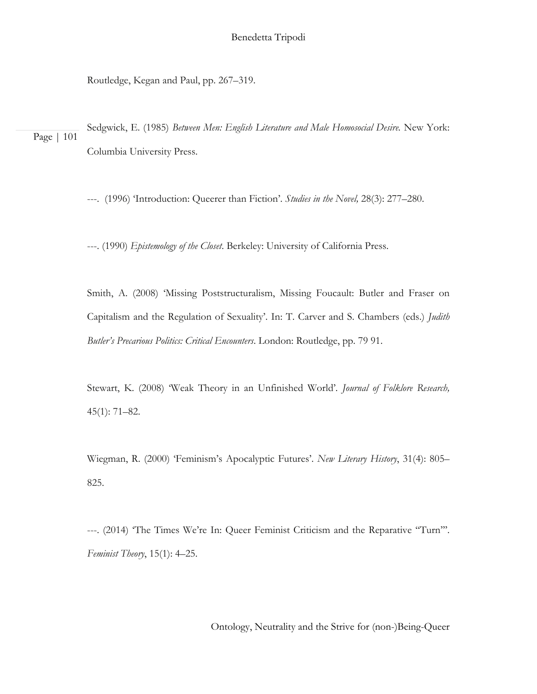Routledge, Kegan and Paul, pp. 267–319.

Page | 101 Sedgwick, E. (1985) *Between Men: English Literature and Male Homosocial Desire.* New York: Columbia University Press.

---. (1996) 'Introduction: Queerer than Fiction'. *Studies in the Novel,* 28(3): 277–280.

---. (1990) *Epistemology of the Closet*. Berkeley: University of California Press.

Smith, A. (2008) 'Missing Poststructuralism, Missing Foucault: Butler and Fraser on Capitalism and the Regulation of Sexuality'. In: T. Carver and S. Chambers (eds.) *Judith Butler's Precarious Politics: Critical Encounters*. London: Routledge, pp. 79 91.

Stewart, K. (2008) 'Weak Theory in an Unfinished World'*. Journal of Folklore Research,* 45(1): 71–82.

Wiegman, R. (2000) 'Feminism's Apocalyptic Futures'. *New Literary History*, 31(4): 805– 825.

---. (2014) 'The Times We're In: Queer Feminist Criticism and the Reparative ''Turn'''. *Feminist Theory*, 15(1): 4–25.